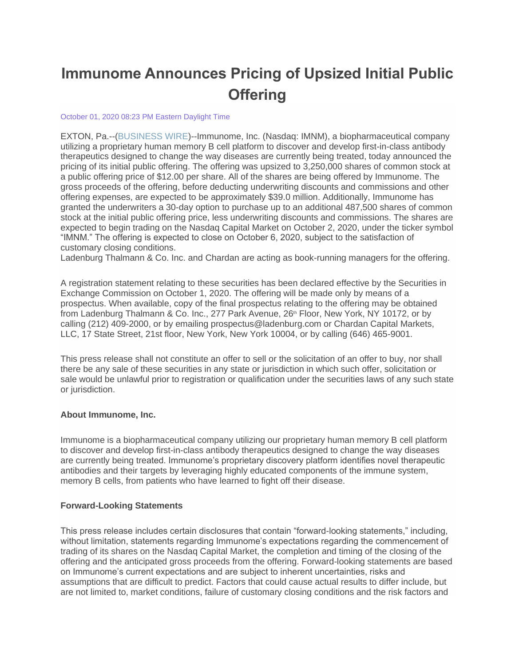# **Immunome Announces Pricing of Upsized Initial Public Offering**

#### October 01, 2020 08:23 PM Eastern Daylight Time

EXTON, Pa.--[\(BUSINESS WIRE\)](https://www.businesswire.com/)--Immunome, Inc. (Nasdaq: IMNM), a biopharmaceutical company utilizing a proprietary human memory B cell platform to discover and develop first-in-class antibody therapeutics designed to change the way diseases are currently being treated, today announced the pricing of its initial public offering. The offering was upsized to 3,250,000 shares of common stock at a public offering price of \$12.00 per share. All of the shares are being offered by Immunome. The gross proceeds of the offering, before deducting underwriting discounts and commissions and other offering expenses, are expected to be approximately \$39.0 million. Additionally, Immunome has granted the underwriters a 30-day option to purchase up to an additional 487,500 shares of common stock at the initial public offering price, less underwriting discounts and commissions. The shares are expected to begin trading on the Nasdaq Capital Market on October 2, 2020, under the ticker symbol "IMNM." The offering is expected to close on October 6, 2020, subject to the satisfaction of customary closing conditions.

Ladenburg Thalmann & Co. Inc. and Chardan are acting as book-running managers for the offering.

A registration statement relating to these securities has been declared effective by the Securities in Exchange Commission on October 1, 2020. The offering will be made only by means of a prospectus. When available, copy of the final prospectus relating to the offering may be obtained from Ladenburg Thalmann & Co. Inc., 277 Park Avenue, 26<sup>th</sup> Floor, New York, NY 10172, or by calling (212) 409-2000, or by emailing prospectus@ladenburg.com or Chardan Capital Markets, LLC, 17 State Street, 21st floor, New York, New York 10004, or by calling (646) 465-9001.

This press release shall not constitute an offer to sell or the solicitation of an offer to buy, nor shall there be any sale of these securities in any state or jurisdiction in which such offer, solicitation or sale would be unlawful prior to registration or qualification under the securities laws of any such state or jurisdiction.

#### **About Immunome, Inc.**

Immunome is a biopharmaceutical company utilizing our proprietary human memory B cell platform to discover and develop first-in-class antibody therapeutics designed to change the way diseases are currently being treated. Immunome's proprietary discovery platform identifies novel therapeutic antibodies and their targets by leveraging highly educated components of the immune system, memory B cells, from patients who have learned to fight off their disease.

#### **Forward-Looking Statements**

This press release includes certain disclosures that contain "forward-looking statements," including, without limitation, statements regarding Immunome's expectations regarding the commencement of trading of its shares on the Nasdaq Capital Market, the completion and timing of the closing of the offering and the anticipated gross proceeds from the offering. Forward-looking statements are based on Immunome's current expectations and are subject to inherent uncertainties, risks and assumptions that are difficult to predict. Factors that could cause actual results to differ include, but are not limited to, market conditions, failure of customary closing conditions and the risk factors and